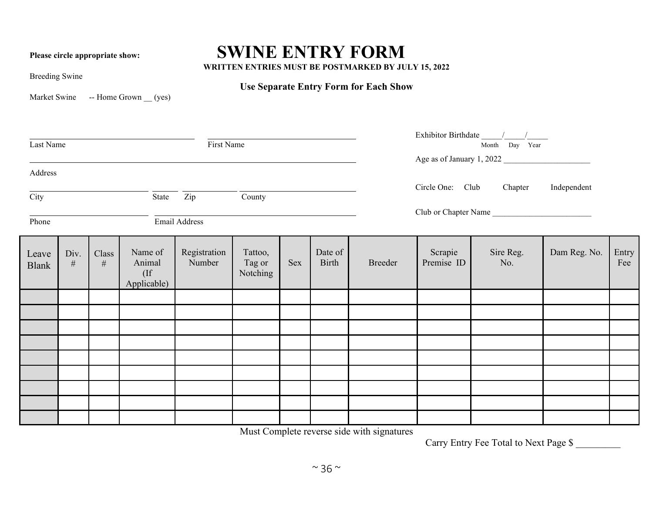## **Please circle appropriate show: SWINE ENTRY FORM**

**WRITTEN ENTRIES MUST BE POSTMARKED BY JULY 15, 2022**

Breeding Swine

## **Use Separate Entry Form for Each Show**

Market Swine -- Home Grown \_\_ (yes)

| First Name<br>Last Name |              |               |                                            |                        |                               |     |                  | Month Day Year<br>Age as of January 1, 2022 |                       |                  |              |  |  |
|-------------------------|--------------|---------------|--------------------------------------------|------------------------|-------------------------------|-----|------------------|---------------------------------------------|-----------------------|------------------|--------------|--|--|
| Address                 |              |               |                                            |                        |                               |     |                  |                                             | Circle One: Club      | Chapter          | Independent  |  |  |
| City                    |              |               | State                                      | Zip                    | County                        |     |                  | Club or Chapter Name                        |                       |                  |              |  |  |
| Phone                   |              |               |                                            | Email Address          |                               |     |                  |                                             |                       |                  |              |  |  |
| Leave<br><b>Blank</b>   | Div.<br>$\#$ | Class<br>$\#$ | Name of<br>Animal<br>$($ If<br>Applicable) | Registration<br>Number | Tattoo,<br>Tag or<br>Notching | Sex | Date of<br>Birth | <b>Breeder</b>                              | Scrapie<br>Premise ID | Sire Reg.<br>No. | Dam Reg. No. |  |  |
|                         |              |               |                                            |                        |                               |     |                  |                                             |                       |                  |              |  |  |
|                         |              |               |                                            |                        |                               |     |                  |                                             |                       |                  |              |  |  |
|                         |              |               |                                            |                        |                               |     |                  |                                             |                       |                  |              |  |  |
|                         |              |               |                                            |                        |                               |     |                  |                                             |                       |                  |              |  |  |
|                         |              |               |                                            |                        |                               |     |                  |                                             |                       |                  |              |  |  |
|                         |              |               |                                            |                        |                               |     |                  |                                             |                       |                  |              |  |  |
|                         |              |               |                                            |                        |                               |     |                  |                                             |                       |                  |              |  |  |

Must Complete reverse side with signatures

Carry Entry Fee Total to Next Page \$ \_\_\_\_\_\_\_\_\_

**Entry** Fee